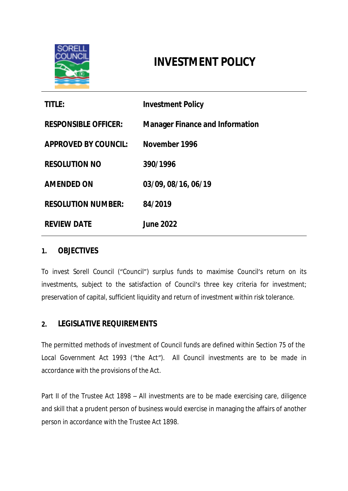

# **INVESTMENT POLICY**

| <b>TITLE:</b>               | <b>Investment Policy</b>               |
|-----------------------------|----------------------------------------|
| <b>RESPONSIBLE OFFICER:</b> | <b>Manager Finance and Information</b> |
| <b>APPROVED BY COUNCIL:</b> | November 1996                          |
| <b>RESOLUTION NO</b>        | 390/1996                               |
| <b>AMENDED ON</b>           | 03/09, 08/16, 06/19                    |
| <b>RESOLUTION NUMBER:</b>   | 84/2019                                |
| <b>REVIEW DATE</b>          | <b>June 2022</b>                       |

#### **1. OBJECTIVES**

To invest Sorell Council ("Council") surplus funds to maximise Council's return on its investments, subject to the satisfaction of Council's three key criteria for investment; preservation of capital, sufficient liquidity and return of investment within risk tolerance.

### **2. LEGISLATIVE REQUIREMENTS**

The permitted methods of investment of Council funds are defined within Section 75 of *the Local Government Act 1993 ("the Act").* All Council investments are to be made in accordance with the provisions of *the Act.*

Part II of the *Trustee Act 1898 –* All investments are to be made exercising care, diligence and skill that a prudent person of business would exercise in managing the affairs of another person in accordance with the *Trustee Act 1898.*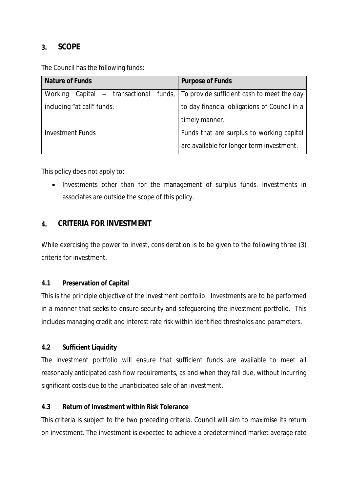### **3. SCOPE**

The Council has the following funds:

| <b>Nature of Funds</b>     | <b>Purpose of Funds</b>                                                             |
|----------------------------|-------------------------------------------------------------------------------------|
| Working                    | Capital $-$ transactional funds, $\vert$ To provide sufficient cash to meet the day |
| including "at call" funds. | to day financial obligations of Council in a                                        |
|                            | timely manner.                                                                      |
| <b>Investment Funds</b>    | Funds that are surplus to working capital                                           |
|                            | are available for longer term investment.                                           |

This policy does not apply to:

• Investments other than for the management of surplus funds. Investments in associates are outside the scope of this policy.

# **4. CRITERIA FOR INVESTMENT**

While exercising the power to invest, consideration is to be given to the following three (3) criteria for investment.

#### **4.1 Preservation of Capital**

This is the principle objective of the investment portfolio. Investments are to be performed in a manner that seeks to ensure security and safeguarding the investment portfolio. This includes managing credit and interest rate risk within identified thresholds and parameters.

#### **4.2 Sufficient Liquidity**

The investment portfolio will ensure that sufficient funds are available to meet all reasonably anticipated cash flow requirements, as and when they fall due, without incurring significant costs due to the unanticipated sale of an investment.

#### **4.3 Return of Investment within Risk Tolerance**

This criteria is subject to the two preceding criteria. Council will aim to maximise its return on investment. The investment is expected to achieve a predetermined market average rate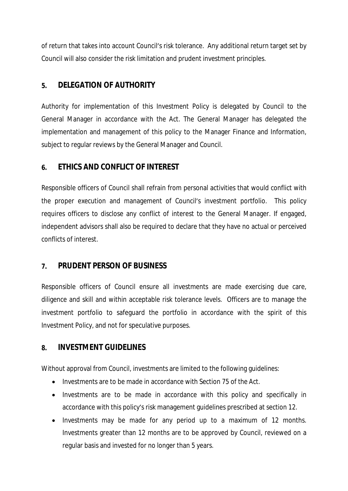of return that takes into account Council's risk tolerance. Any additional return target set by Council will also consider the risk limitation and prudent investment principles.

# **5. DELEGATION OF AUTHORITY**

Authority for implementation of this Investment Policy is delegated by Council to the General Manager in accordance with *the Act*. The General Manager has delegated the implementation and management of this policy to the Manager Finance and Information, subject to regular reviews by the General Manager and Council.

# **6. ETHICS AND CONFLICT OF INTEREST**

Responsible officers of Council shall refrain from personal activities that would conflict with the proper execution and management of Council's investment portfolio. This policy requires officers to disclose any conflict of interest to the General Manager. If engaged, independent advisors shall also be required to declare that they have no actual or perceived conflicts of interest.

# **7. PRUDENT PERSON OF BUSINESS**

Responsible officers of Council ensure all investments are made exercising due care, diligence and skill and within acceptable risk tolerance levels. Officers are to manage the investment portfolio to safeguard the portfolio in accordance with the spirit of this Investment Policy, and not for speculative purposes.

# **8. INVESTMENT GUIDELINES**

Without approval from Council, investments are limited to the following guidelines:

- Investments are to be made in accordance with Section 75 of *the Act.*
- Investments are to be made in accordance with this policy and specifically in accordance with this policy's risk management guidelines prescribed at section 12.
- Investments may be made for any period up to a maximum of 12 months. Investments greater than 12 months are to be approved by Council, reviewed on a regular basis and invested for no longer than 5 years.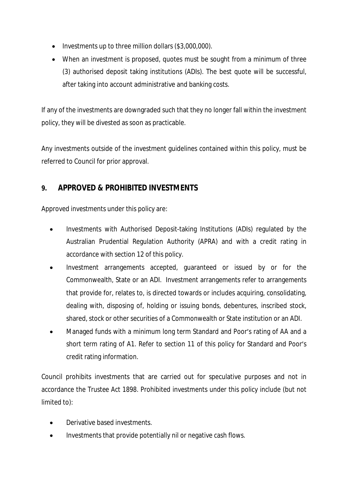- $\bullet$  Investments up to three million dollars (\$3,000,000).
- When an investment is proposed, quotes must be sought from a minimum of three (3) authorised deposit taking institutions (ADIs). The best quote will be successful, after taking into account administrative and banking costs.

If any of the investments are downgraded such that they no longer fall within the investment policy, they will be divested as soon as practicable.

Any investments outside of the investment guidelines contained within this policy, must be referred to Council for prior approval.

# **9. APPROVED & PROHIBITED INVESTMENTS**

Approved investments under this policy are:

- Investments with Authorised Deposit-taking Institutions (ADIs) regulated by the Australian Prudential Regulation Authority (APRA) and with a credit rating in accordance with section 12 of this policy.
- Investment arrangements accepted, guaranteed or issued by or for the Commonwealth, State or an ADI. Investment arrangements refer to arrangements that provide for, relates to, is directed towards or includes acquiring, consolidating, dealing with, disposing of, holding or issuing bonds, debentures, inscribed stock, shared, stock or other securities of a Commonwealth or State institution or an ADI.
- Managed funds with a minimum long term Standard and Poor's rating of AA and a short term rating of A1. Refer to section 11 of this policy for Standard and Poor's credit rating information.

Council prohibits investments that are carried out for speculative purposes and not in accordance the *Trustee Act 1898.* Prohibited investments under this policy include (but not limited to):

- Derivative based investments.
- Investments that provide potentially nil or negative cash flows.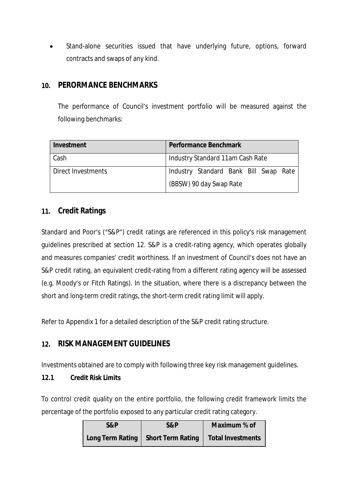Stand-alone securities issued that have underlying future, options, forward contracts and swaps of any kind.

### **10. PERORMANCE BENCHMARKS**

The performance of Council's investment portfolio will be measured against the following benchmarks:

| Investment         | <b>Performance Benchmark</b>          |
|--------------------|---------------------------------------|
| Cash               | Industry Standard 11am Cash Rate      |
| Direct Investments | Industry Standard Bank Bill Swap Rate |
|                    | (BBSW) 90 day Swap Rate               |

# **11. Credit Ratings**

Standard and Poor's ("S&P") credit ratings are referenced in this policy's risk management guidelines prescribed at section 12. S&P is a credit-rating agency, which operates globally and measures companies' credit worthiness. If an investment of Council's does not have an S&P credit rating, an equivalent credit-rating from a different rating agency will be assessed (e.g. Moody's or Fitch Ratings). In the situation, where there is a discrepancy between the short and long-term credit ratings, the short-term credit rating limit will apply.

Refer to Appendix 1 for a detailed description of the S&P credit rating structure.

# **12. RISK MANAGEMENT GUIDELINES**

Investments obtained are to comply with following three key risk management guidelines.

#### **12.1 Credit Risk Limits**

To control credit quality on the entire portfolio, the following credit framework limits the percentage of the portfolio exposed to any particular credit rating category.

| S&P | S&P                                                      | Maximum % of |
|-----|----------------------------------------------------------|--------------|
|     | Long Term Rating   Short Term Rating   Total Investments |              |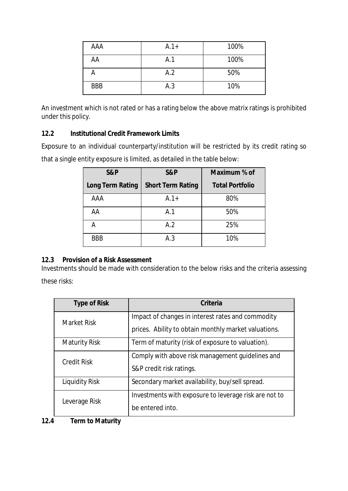| AAA        | $A.1+$ | 100% |
|------------|--------|------|
| AA         | A.1    | 100% |
|            | A.2    | 50%  |
| <b>BBB</b> | A.3    | 10%  |

An investment which is not rated or has a rating below the above matrix ratings is prohibited under this policy.

#### **12.2 Institutional Credit Framework Limits**

Exposure to an individual counterparty/institution will be restricted by its credit rating so that a single entity exposure is limited, as detailed in the table below:

| S&P                     | S&P                      | Maximum % of           |
|-------------------------|--------------------------|------------------------|
| <b>Long Term Rating</b> | <b>Short Term Rating</b> | <b>Total Portfolio</b> |
| AAA                     | $A.1+$                   | 80%                    |
| AA                      | A.1                      | 50%                    |
| А                       | A.2                      | 25%                    |
| <b>BBB</b>              | A.3                      | 10%                    |

#### **12.3 Provision of a Risk Assessment**

Investments should be made with consideration to the below risks and the criteria assessing these risks:

| <b>Type of Risk</b>  | Criteria                                              |
|----------------------|-------------------------------------------------------|
| Market Risk          | Impact of changes in interest rates and commodity     |
|                      | prices. Ability to obtain monthly market valuations.  |
| <b>Maturity Risk</b> | Term of maturity (risk of exposure to valuation).     |
| <b>Credit Risk</b>   | Comply with above risk management guidelines and      |
|                      | S&P credit risk ratings.                              |
| Liquidity Risk       | Secondary market availability, buy/sell spread.       |
| Leverage Risk        | Investments with exposure to leverage risk are not to |
|                      | be entered into.                                      |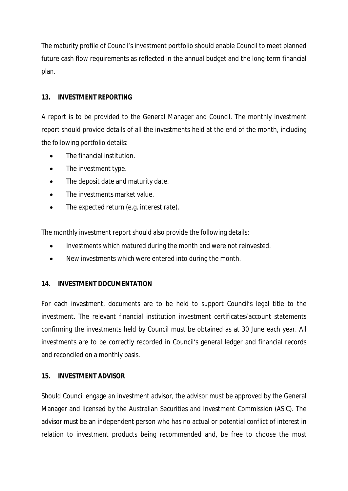The maturity profile of Council's investment portfolio should enable Council to meet planned future cash flow requirements as reflected in the annual budget and the long-term financial plan.

#### **13. INVESTMENT REPORTING**

A report is to be provided to the General Manager and Council. The monthly investment report should provide details of all the investments held at the end of the month, including the following portfolio details:

- The financial institution.
- The investment type.
- The deposit date and maturity date.
- The investments market value.
- The expected return (e.g. interest rate).

The monthly investment report should also provide the following details:

- Investments which matured during the month and were not reinvested.
- New investments which were entered into during the month.

#### **14. INVESTMENT DOCUMENTATION**

For each investment, documents are to be held to support Council's legal title to the investment. The relevant financial institution investment certificates/account statements confirming the investments held by Council must be obtained as at 30 June each year. All investments are to be correctly recorded in Council's general ledger and financial records and reconciled on a monthly basis.

#### **15. INVESTMENT ADVISOR**

Should Council engage an investment advisor, the advisor must be approved by the General Manager and licensed by the Australian Securities and Investment Commission (ASIC). The advisor must be an independent person who has no actual or potential conflict of interest in relation to investment products being recommended and, be free to choose the most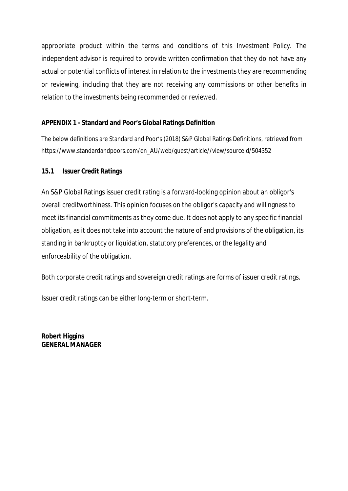appropriate product within the terms and conditions of this Investment Policy. The independent advisor is required to provide written confirmation that they do not have any actual or potential conflicts of interest in relation to the investments they are recommending or reviewing, including that they are not receiving any commissions or other benefits in relation to the investments being recommended or reviewed.

#### **APPENDIX 1 - Standard and Poor's Global Ratings Definition**

The below definitions are Standard and Poor's (2018) S&P Global Ratings Definitions, retrieved from https://www.standardandpoors.com/en\_AU/web/quest/article//view/sourceId/504352

### **15.1 Issuer Credit Ratings**

An S&P Global Ratings issuer credit rating is a forward-looking opinion about an obligor's overall creditworthiness. This opinion focuses on the obligor's capacity and willingness to meet its financial commitments as they come due. It does not apply to any specific financial obligation, as it does not take into account the nature of and provisions of the obligation, its standing in bankruptcy or liquidation, statutory preferences, or the legality and enforceability of the obligation.

Both corporate credit ratings and sovereign credit ratings are forms of issuer credit ratings.

Issuer credit ratings can be either long-term or short-term.

**Robert Higgins GENERAL MANAGER**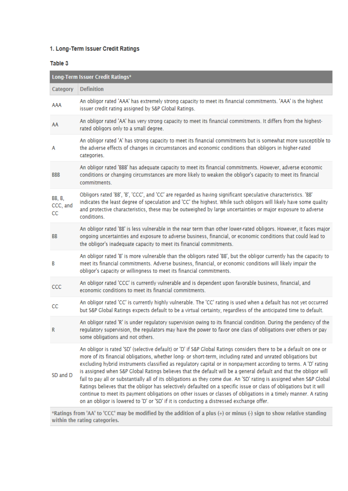#### 1. Long-Term Issuer Credit Ratings

#### Table 3

|                           | Long-Term Issuer Credit Ratings*                                                                                                                                                                                                                                                                                                                                                                                                                                                                                                                                                                                                                                                                                                                                                                                                                                                                                                                                                                                                                                  |
|---------------------------|-------------------------------------------------------------------------------------------------------------------------------------------------------------------------------------------------------------------------------------------------------------------------------------------------------------------------------------------------------------------------------------------------------------------------------------------------------------------------------------------------------------------------------------------------------------------------------------------------------------------------------------------------------------------------------------------------------------------------------------------------------------------------------------------------------------------------------------------------------------------------------------------------------------------------------------------------------------------------------------------------------------------------------------------------------------------|
| Category                  | <b>Definition</b>                                                                                                                                                                                                                                                                                                                                                                                                                                                                                                                                                                                                                                                                                                                                                                                                                                                                                                                                                                                                                                                 |
| AAA                       | An obligor rated 'AAA' has extremely strong capacity to meet its financial commitments. 'AAA' is the highest<br>issuer credit rating assigned by S&P Global Ratings.                                                                                                                                                                                                                                                                                                                                                                                                                                                                                                                                                                                                                                                                                                                                                                                                                                                                                              |
| AA                        | An obligor rated 'AA' has very strong capacity to meet its financial commitments. It differs from the highest-<br>rated obligors only to a small degree.                                                                                                                                                                                                                                                                                                                                                                                                                                                                                                                                                                                                                                                                                                                                                                                                                                                                                                          |
| A                         | An obligor rated 'A' has strong capacity to meet its financial commitments but is somewhat more susceptible to<br>the adverse effects of changes in circumstances and economic conditions than obligors in higher-rated<br>categories.                                                                                                                                                                                                                                                                                                                                                                                                                                                                                                                                                                                                                                                                                                                                                                                                                            |
| <b>BBB</b>                | An obligor rated 'BBB' has adequate capacity to meet its financial commitments. However, adverse economic<br>conditions or changing circumstances are more likely to weaken the obligor's capacity to meet its financial<br>commitments.                                                                                                                                                                                                                                                                                                                                                                                                                                                                                                                                                                                                                                                                                                                                                                                                                          |
| BB, B,<br>CCC, and<br>CC. | Obligors rated 'BB', 'B', 'CCC', and 'CC' are regarded as having significant speculative characteristics. 'BB'<br>indicates the least degree of speculation and 'CC' the highest. While such obligors will likely have some quality<br>and protective characteristics, these may be outweighed by large uncertainties or major exposure to adverse<br>conditions.                                                                                                                                                                                                                                                                                                                                                                                                                                                                                                                                                                                                                                                                                                 |
| BB                        | An obligor rated 'BB' is less vulnerable in the near term than other lower-rated obligors. However, it faces major<br>ongoing uncertainties and exposure to adverse business, financial, or economic conditions that could lead to<br>the obligor's inadequate capacity to meet its financial commitments.                                                                                                                                                                                                                                                                                                                                                                                                                                                                                                                                                                                                                                                                                                                                                        |
| B                         | An obligor rated 'B' is more vulnerable than the obligors rated 'BB', but the obligor currently has the capacity to<br>meet its financial commitments. Adverse business, financial, or economic conditions will likely impair the<br>obligor's capacity or willingness to meet its financial commitments.                                                                                                                                                                                                                                                                                                                                                                                                                                                                                                                                                                                                                                                                                                                                                         |
| CCC                       | An obligor rated 'CCC' is currently vulnerable and is dependent upon favorable business, financial, and<br>economic conditions to meet its financial commitments.                                                                                                                                                                                                                                                                                                                                                                                                                                                                                                                                                                                                                                                                                                                                                                                                                                                                                                 |
| CC                        | An obligor rated 'CC' is currently highly vulnerable. The 'CC' rating is used when a default has not yet occurred<br>but S&P Global Ratings expects default to be a virtual certainty, regardless of the anticipated time to default.                                                                                                                                                                                                                                                                                                                                                                                                                                                                                                                                                                                                                                                                                                                                                                                                                             |
| R                         | An obligor rated 'R' is under regulatory supervision owing to its financial condition. During the pendency of the<br>regulatory supervision, the regulators may have the power to favor one class of obligations over others or pay<br>some obligations and not others.                                                                                                                                                                                                                                                                                                                                                                                                                                                                                                                                                                                                                                                                                                                                                                                           |
| SD and D                  | An obligor is rated 'SD' (selective default) or 'D' if S&P Global Ratings considers there to be a default on one or<br>more of its financial obligations, whether long- or short-term, including rated and unrated obligations but<br>excluding hybrid instruments classified as regulatory capital or in nonpayment according to terms. A 'D' rating<br>is assigned when S&P Global Ratings believes that the default will be a general default and that the obligor will<br>fail to pay all or substantially all of its obligations as they come due. An 'SD' rating is assigned when S&P Global<br>Ratings believes that the obligor has selectively defaulted on a specific issue or class of obligations but it will<br>continue to meet its payment obligations on other issues or classes of obligations in a timely manner. A rating<br>on an obligor is lowered to 'D' or 'SD' if it is conducting a distressed exchange offer.<br>*Ratings from 'AA' to 'CCC' may be modified by the addition of a plus (+) or minus (-) sign to show relative standing |

within the rating categories.